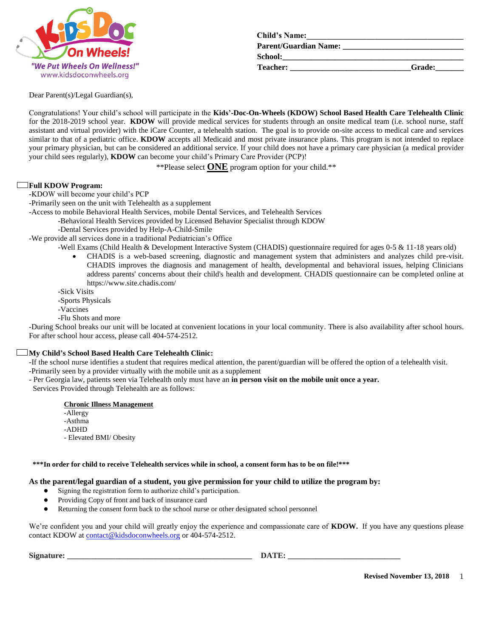

| <b>Child's Name:</b>         |               |
|------------------------------|---------------|
| <b>Parent/Guardian Name:</b> |               |
| School:                      |               |
| <b>Teacher:</b>              | <b>Grade:</b> |
|                              |               |

Dear Parent(s)/Legal Guardian(s),

Congratulations! Your child's school will participate in the **Kids'-Doc-On-Wheels (KDOW) School Based Health Care Telehealth Clinic** for the 2018-2019 school year. **KDOW** will provide medical services for students through an onsite medical team (i.e. school nurse, staff assistant and virtual provider) with the iCare Counter, a telehealth station. The goal is to provide on-site access to medical care and services similar to that of a pediatric office. **KDOW** accepts all Medicaid and most private insurance plans. This program is not intended to replace your primary physician, but can be considered an additional service. If your child does not have a primary care physician (a medical provider your child sees regularly), **KDOW** can become your child's Primary Care Provider (PCP)!

\*\*Please select **ONE** program option for your child.\*\*

#### **Full KDOW Program:**

-KDOW will become your child's PCP

-Primarily seen on the unit with Telehealth as a supplement

-Access to mobile Behavioral Health Services, mobile Dental Services, and Telehealth Services

-Behavioral Health Services provided by Licensed Behavior Specialist through KDOW

-Dental Services provided by Help-A-Child-Smile

-We provide all services done in a traditional Pediatrician's Office

- -Well Exams (Child Health & Development Interactive System (CHADIS) questionnaire required for ages 0-5 & 11-18 years old)
	- CHADIS is a web-based screening, diagnostic and management system that administers and analyzes child pre-visit. CHADIS improves the diagnosis and management of health, developmental and behavioral issues, helping Clinicians address parents' concerns about their child's health and development. CHADIS questionnaire can be completed online at https://www.site.chadis.com/

-Sick Visits

-Sports Physicals

-Vaccines

-Flu Shots and more

-During School breaks our unit will be located at convenient locations in your local community. There is also availability after school hours. For after school hour access, please call 404-574-2512.

### **My Child's School Based Health Care Telehealth Clinic:**

-If the school nurse identifies a student that requires medical attention, the parent/guardian will be offered the option of a telehealth visit. -Primarily seen by a provider virtually with the mobile unit as a supplement

- Per Georgia law, patients seen via Telehealth only must have an **in person visit on the mobile unit once a year.** Services Provided through Telehealth are as follows:

# **Chronic Illness Management**<br> **Alleroy**

 $\frac{F_{\text{m}}(E)}{F_{\text{m}}(E)}$ -ADHD - Elevated BMI/ Obesity -Allergy

 **\*\*\*In order for child to receive Telehealth services while in school, a consent form has to be on file!\*\*\***

#### **As the parent/legal guardian of a student, you give permission for your child to utilize the program by:**

- Signing the registration form to authorize child's participation.
- Providing Copy of front and back of insurance card
- Returning the consent form back to the school nurse or other designated school personnel

We're confident you and your child will greatly enjoy the experience and compassionate care of **KDOW.** If you have any questions please contact KDOW at [contact@kidsdoconwheels.org](mailto:contact@kidsdoconwheels.org) or 404-574-2512.

| Signature: | TП |  |
|------------|----|--|
| nun c.     |    |  |

**Revised November 13, 2018** 1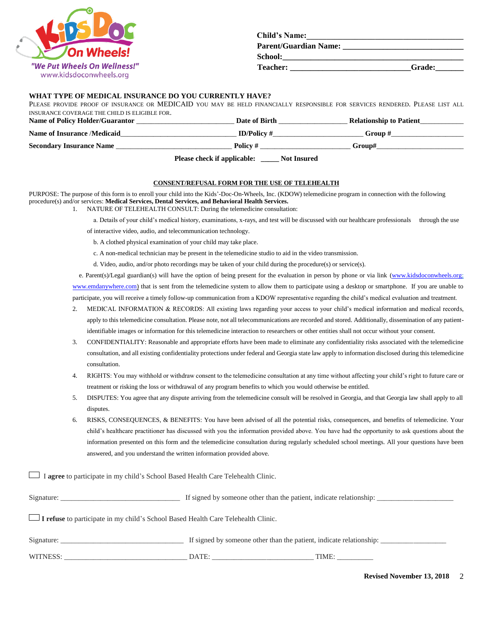

| <b>Child's Name:</b>         |               |
|------------------------------|---------------|
| <b>Parent/Guardian Name:</b> |               |
| School:                      |               |
| Teacher:                     | <b>Grade:</b> |
|                              |               |

#### **WHAT TYPE OF MEDICAL INSURANCE DO YOU CURRENTLY HAVE?**

PLEASE PROVIDE PROOF OF INSURANCE OR MEDICAID YOU MAY BE HELD FINANCIALLY RESPONSIBLE FOR SERVICES RENDERED. PLEASE LIST ALL INSURANCE COVERAGE THE CHILD IS ELIGIBLE FOR.

| Name of Policy Holder/Guarantor | Date of Birth                                            | <b>Relationship to Patient</b> |  |
|---------------------------------|----------------------------------------------------------|--------------------------------|--|
| Name of Insurance /Medicaid     | ID/Policy $#$                                            | Group #                        |  |
| <b>Secondary Insurance Name</b> | Policy #                                                 | Group#                         |  |
|                                 | <b>Please check if applicable:</b><br><b>Not Insured</b> |                                |  |

## **CONSENT/REFUSAL FORM FOR THE USE OF TELEHEALTH**

PURPOSE: The purpose of this form is to enroll your child into the Kids'-Doc-On-Wheels, Inc. (KDOW) telemedicine program in connection with the following procedure(s) and/or services: **Medical Services, Dental Services, and Behavioral Health Services.**

- 1. NATURE OF TELEHEALTH CONSULT: During the telemedicine consultation:
	- a. Details of your child's medical history, examinations, x-rays, and test will be discussed with our healthcare professionals through the use
	- of interactive video, audio, and telecommunication technology.
		- b. A clothed physical examination of your child may take place.
	- c. A non-medical technician may be present in the telemedicine studio to aid in the video transmission.

d. Video, audio, and/or photo recordings may be taken of your child during the procedure(s) or service(s).

e. Parent(s)/Legal guardian(s) will have the option of being present for the evaluation in person by phone or via link [\(www.kidsdoconwheels.org;](http://www.kidsdoconwheels.org/) [www.emdanywhere.com\)](http://www.emdanywhere.com/) that is sent from the telemedicine system to allow them to participate using a desktop or smartphone. If you are unable to participate, you will receive a timely follow-up communication from a KDOW representative regarding the child's medical evaluation and treatment.

- 2. MEDICAL INFORMATION & RECORDS: All existing laws regarding your access to your child's medical information and medical records, apply to this telemedicine consultation. Please note, not all telecommunications are recorded and stored. Additionally, dissemination of any patientidentifiable images or information for this telemedicine interaction to researchers or other entities shall not occur without your consent.
- 3. CONFIDENTIALITY: Reasonable and appropriate efforts have been made to eliminate any confidentiality risks associated with the telemedicine consultation, and all existing confidentiality protections under federal and Georgia state law apply to information disclosed during this telemedicine consultation.
- 4. RIGHTS: You may withhold or withdraw consent to the telemedicine consultation at any time without affecting your child's right to future care or treatment or risking the loss or withdrawal of any program benefits to which you would otherwise be entitled.
- 5. DISPUTES: You agree that any dispute arriving from the telemedicine consult will be resolved in Georgia, and that Georgia law shall apply to all disputes.
- 6. RISKS, CONSEQUENCES, & BENEFITS: You have been advised of all the potential risks, consequences, and benefits of telemedicine. Your child's healthcare practitioner has discussed with you the information provided above. You have had the opportunity to ask questions about the information presented on this form and the telemedicine consultation during regularly scheduled school meetings. All your questions have been answered, and you understand the written information provided above.

I **agree** to participate in my child's School Based Health Care Telehealth Clinic.

|                                                                                   |       | If signed by someone other than the patient, indicate relationship: |  |
|-----------------------------------------------------------------------------------|-------|---------------------------------------------------------------------|--|
| I refuse to participate in my child's School Based Health Care Telehealth Clinic. |       |                                                                     |  |
| Signature:                                                                        |       | If signed by someone other than the patient, indicate relationship: |  |
| WITNESS:                                                                          | DATE: | TIME:                                                               |  |

**Revised November 13, 2018** 2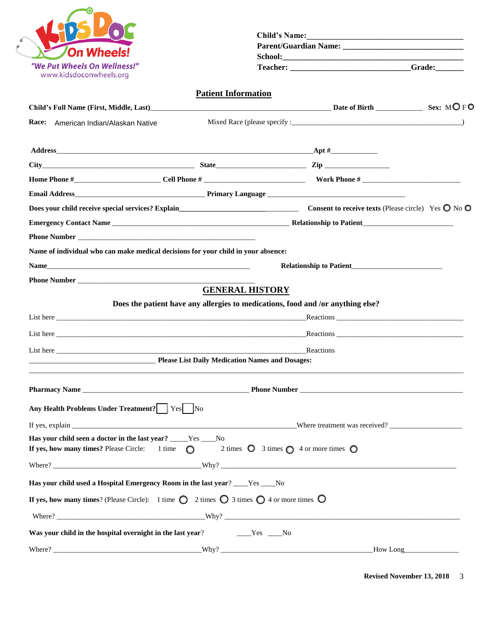| On Wheels!<br>"We Put Wheels On Wellness!"                                                                                                                                                                                           |                                                                                 |                        | Teacher: _____________________________Grade:__                                                                                                                                                                                 |  |
|--------------------------------------------------------------------------------------------------------------------------------------------------------------------------------------------------------------------------------------|---------------------------------------------------------------------------------|------------------------|--------------------------------------------------------------------------------------------------------------------------------------------------------------------------------------------------------------------------------|--|
| www.kidsdoconwheels.org                                                                                                                                                                                                              |                                                                                 |                        |                                                                                                                                                                                                                                |  |
|                                                                                                                                                                                                                                      | <b>Patient Information</b>                                                      |                        |                                                                                                                                                                                                                                |  |
| Child's Full Name (First, Middle, Last)<br>Child's Full Name (First, Middle, Last)<br>Child's Full Name (First, Middle, Last)                                                                                                        |                                                                                 |                        |                                                                                                                                                                                                                                |  |
| <b>Race:</b><br>American Indian/Alaskan Native                                                                                                                                                                                       |                                                                                 |                        |                                                                                                                                                                                                                                |  |
| Address <b>a Apple 2018 Apple 2018 Apple 2018 Apple 2018 Apple 2018 Apple 2018</b>                                                                                                                                                   |                                                                                 |                        |                                                                                                                                                                                                                                |  |
|                                                                                                                                                                                                                                      |                                                                                 |                        |                                                                                                                                                                                                                                |  |
|                                                                                                                                                                                                                                      |                                                                                 |                        |                                                                                                                                                                                                                                |  |
|                                                                                                                                                                                                                                      |                                                                                 |                        |                                                                                                                                                                                                                                |  |
|                                                                                                                                                                                                                                      |                                                                                 |                        |                                                                                                                                                                                                                                |  |
|                                                                                                                                                                                                                                      |                                                                                 |                        |                                                                                                                                                                                                                                |  |
|                                                                                                                                                                                                                                      |                                                                                 |                        |                                                                                                                                                                                                                                |  |
| Name of individual who can make medical decisions for your child in your absence:                                                                                                                                                    |                                                                                 |                        |                                                                                                                                                                                                                                |  |
|                                                                                                                                                                                                                                      |                                                                                 |                        | <b>Relationship to Patient</b>                                                                                                                                                                                                 |  |
|                                                                                                                                                                                                                                      |                                                                                 | <b>GENERAL HISTORY</b> |                                                                                                                                                                                                                                |  |
|                                                                                                                                                                                                                                      | Does the patient have any allergies to medications, food and /or anything else? |                        |                                                                                                                                                                                                                                |  |
|                                                                                                                                                                                                                                      |                                                                                 |                        |                                                                                                                                                                                                                                |  |
| List here experiences are the set of the set of the set of the set of the set of the set of the set of the set of the set of the set of the set of the set of the set of the set of the set of the set of the set of the set o       |                                                                                 |                        | Reactions and the second services of the services of the services of the services of the services of the services of the services of the services of the services of the services of the services of the services of the servi |  |
|                                                                                                                                                                                                                                      |                                                                                 |                        |                                                                                                                                                                                                                                |  |
| List here <b>contract the contract of the contract of the contract of the contract of the contract of the contract of the contract of the contract of the contract of the contract of the contract of the contract of the contra</b> | Please List Daily Medication Names and Dosages:                                 |                        | Reactions                                                                                                                                                                                                                      |  |
|                                                                                                                                                                                                                                      |                                                                                 |                        |                                                                                                                                                                                                                                |  |
|                                                                                                                                                                                                                                      |                                                                                 |                        |                                                                                                                                                                                                                                |  |
| Any Health Problems Under Treatment?   Yes   No                                                                                                                                                                                      |                                                                                 |                        |                                                                                                                                                                                                                                |  |
| If yes, explain Where treatment was received?                                                                                                                                                                                        |                                                                                 |                        |                                                                                                                                                                                                                                |  |
| Has your child seen a doctor in the last year? _____Yes ___No<br>If yes, how many times? Please Circle: 1 time $\bigcirc$ 2 times $\bigcirc$ 3 times $\bigcirc$ 4 or more times $\bigcirc$                                           |                                                                                 |                        |                                                                                                                                                                                                                                |  |
|                                                                                                                                                                                                                                      |                                                                                 |                        |                                                                                                                                                                                                                                |  |
| Has your child used a Hospital Emergency Room in the last year? ____Yes ___No                                                                                                                                                        |                                                                                 |                        |                                                                                                                                                                                                                                |  |
| If yes, how many times? (Please Circle): 1 time $\bigcirc$ 2 times $\bigcirc$ 3 times $\bigcirc$ 4 or more times $\bigcirc$                                                                                                          |                                                                                 |                        |                                                                                                                                                                                                                                |  |
|                                                                                                                                                                                                                                      |                                                                                 |                        |                                                                                                                                                                                                                                |  |
|                                                                                                                                                                                                                                      |                                                                                 |                        |                                                                                                                                                                                                                                |  |
| Was your child in the hospital overnight in the last year? The Mess Theory No.                                                                                                                                                       |                                                                                 |                        |                                                                                                                                                                                                                                |  |
|                                                                                                                                                                                                                                      |                                                                                 |                        |                                                                                                                                                                                                                                |  |

**Revised November 13, 2018** 3